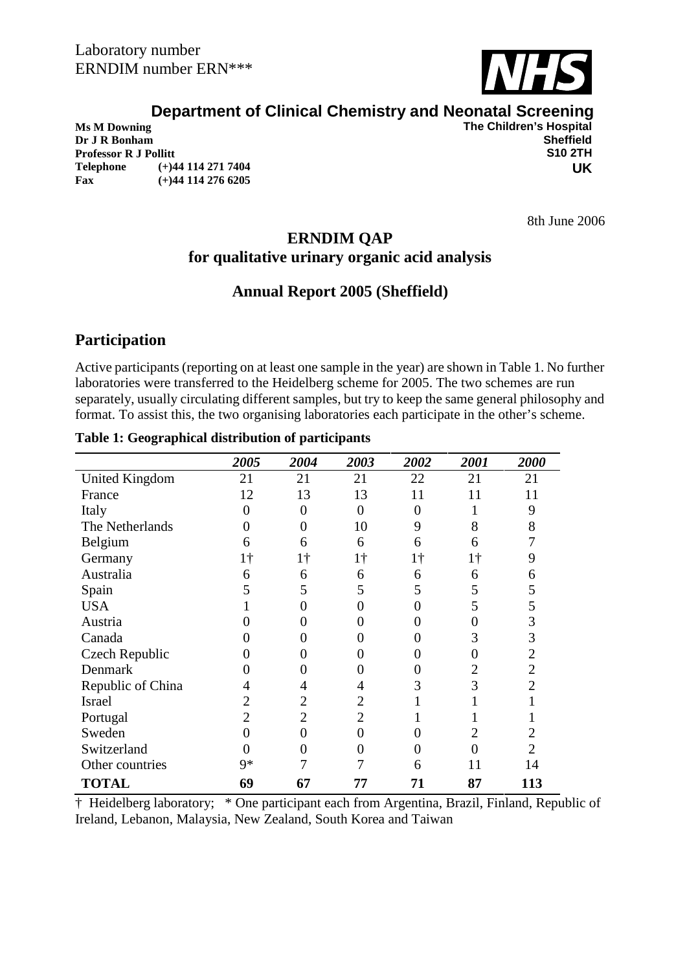

# **Department of Clinical Chemistry and Neonatal Screening**<br>The Children's Hospital

**Dr J R Bonham Sheffield Professor R J Pollitt Telephone (+)44 114 271 7404 Fax (+)44 114 276 6205**

**The Children's Hospital<br>Sheffield UK**

8th June 2006

# **ERNDIM QAP for qualitative urinary organic acid analysis**

# **Annual Report 2005 (Sheffield)**

# **Participation**

Active participants (reporting on at least one sample in the year) are shown in Table 1. No further laboratories were transferred to the Heidelberg scheme for 2005. The two schemes are run separately, usually circulating different samples, but try to keep the same general philosophy and format. To assist this, the two organising laboratories each participate in the other's scheme.

#### **Table 1: Geographical distribution of participants**

|                       | 2005             | 2004           | 2003           | 2002       | 2001       | 2000           |
|-----------------------|------------------|----------------|----------------|------------|------------|----------------|
| <b>United Kingdom</b> | 21               | 21             | 21             | 22         | 21         | 21             |
| France                | 12               | 13             | 13             | 11         | 11         | 11             |
| Italy                 | $\boldsymbol{0}$ | $\theta$       | 0              | 0          |            | 9              |
| The Netherlands       | $\overline{0}$   | 0              | 10             | 9          | 8          | 8              |
| Belgium               | 6                | 6              | 6              | 6          | 6          |                |
| Germany               | 1†               | $1\dagger$     | $1\dagger$     | $1\dagger$ | $1\dagger$ | 9              |
| Australia             | 6                | 6              | 6              | 6          | 6          | 6              |
| Spain                 | 5                | 5              | 5              | 5          | 5          | 5              |
| <b>USA</b>            |                  | 0              | 0              | 0          | 5          | 5              |
| Austria               |                  | 0              | 0              |            |            | 3              |
| Canada                | $\theta$         | 0              | $\Omega$       | 0          | 3          | 3              |
| Czech Republic        | 0                | 0              | 0              |            |            | 2              |
| Denmark               | 0                | 0              | $\theta$       | 0          | 2          | $\overline{2}$ |
| Republic of China     | 4                | 4              | 4              | 3          | 3          | 2              |
| <b>Israel</b>         | 2                | $\overline{2}$ | 2              |            |            |                |
| Portugal              | $\overline{2}$   | $\overline{2}$ | $\overline{2}$ |            |            |                |
| Sweden                | 0                | 0              | 0              |            |            |                |
| Switzerland           | $\overline{0}$   | 0              | 0              |            |            | 2              |
| Other countries       | 9*               | 7              |                | 6          | 11         | 14             |
| <b>TOTAL</b>          | 69               | 67             | 77             | 71         | 87         | 113            |

† Heidelberg laboratory; \* One participant each from Argentina, Brazil, Finland, Republic of Ireland, Lebanon, Malaysia, New Zealand, South Korea and Taiwan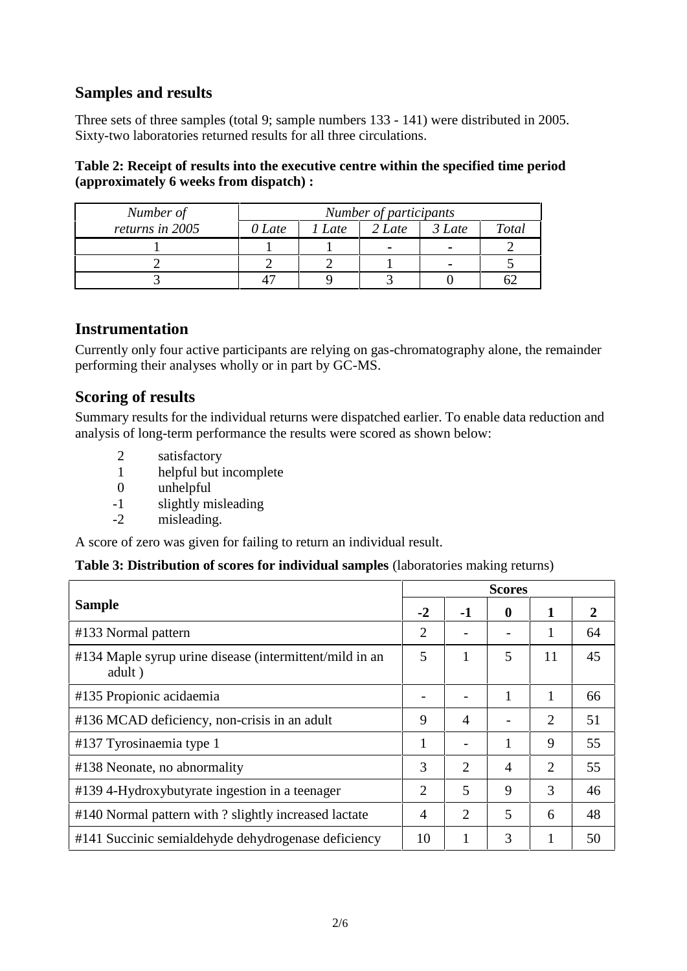## **Samples and results**

Three sets of three samples (total 9; sample numbers 133 - 141) were distributed in 2005. Sixty-two laboratories returned results for all three circulations.

## **Table 2: Receipt of results into the executive centre within the specified time period (approximately 6 weeks from dispatch) :**

| Number of       | Number of participants |      |        |          |       |  |  |  |  |
|-----------------|------------------------|------|--------|----------|-------|--|--|--|--|
| returns in 2005 | 0 Late                 | Late | 2 Late | $3$ Late | Total |  |  |  |  |
|                 |                        |      |        |          |       |  |  |  |  |
|                 |                        |      |        |          |       |  |  |  |  |
|                 |                        |      |        |          |       |  |  |  |  |

## **Instrumentation**

Currently only four active participants are relying on gas-chromatography alone, the remainder performing their analyses wholly or in part by GC-MS.

## **Scoring of results**

Summary results for the individual returns were dispatched earlier. To enable data reduction and analysis of long-term performance the results were scored as shown below:

- 2 satisfactory
- 1 helpful but incomplete
- 0 unhelpful
- -1 slightly misleading
- -2 misleading.

A score of zero was given for failing to return an individual result.

## **Table 3: Distribution of scores for individual samples** (laboratories making returns)

|                                                                   | <b>Scores</b>  |    |                |    |    |  |  |
|-------------------------------------------------------------------|----------------|----|----------------|----|----|--|--|
| <b>Sample</b>                                                     | $-2$           | -1 | $\mathbf 0$    | 1  | 2  |  |  |
| #133 Normal pattern                                               | $\overline{2}$ |    |                |    | 64 |  |  |
| #134 Maple syrup urine disease (intermittent/mild in an<br>adult) | 5              |    | 5              | 11 | 45 |  |  |
| #135 Propionic acidaemia                                          |                |    |                |    | 66 |  |  |
| #136 MCAD deficiency, non-crisis in an adult                      | 9              | 4  |                | 2  | 51 |  |  |
| #137 Tyrosinaemia type 1                                          |                |    |                | 9  | 55 |  |  |
| #138 Neonate, no abnormality                                      | 3              | 2  | $\overline{4}$ | 2  | 55 |  |  |
| #139 4-Hydroxybutyrate ingestion in a teenager                    | $\overline{2}$ | 5  | 9              | 3  | 46 |  |  |
| #140 Normal pattern with ? slightly increased lactate             | $\overline{4}$ | 2  | 5              | 6  | 48 |  |  |
| #141 Succinic semialdehyde dehydrogenase deficiency               | 10             |    | 3              |    | 50 |  |  |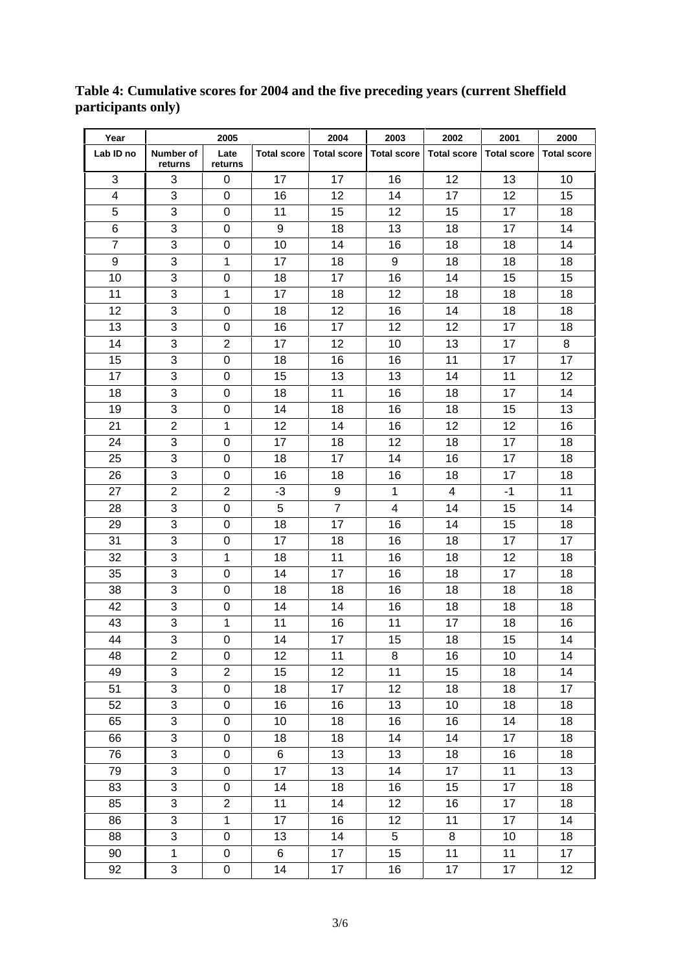| Year           | 2005                      |                  | 2004<br>2003       |                    | 2002               | 2001               | 2000               |                    |
|----------------|---------------------------|------------------|--------------------|--------------------|--------------------|--------------------|--------------------|--------------------|
| Lab ID no      | Number of<br>returns      | Late<br>returns  | <b>Total score</b> | <b>Total score</b> | <b>Total score</b> | <b>Total score</b> | <b>Total score</b> | <b>Total score</b> |
| 3              | 3                         | 0                | 17                 | 17                 | 16                 | 12                 | 13                 | 10                 |
| 4              | 3                         | 0                | 16                 | 12                 | 14                 | 17                 | 12 <sup>2</sup>    | 15                 |
| 5              | 3                         | 0                | 11                 | 15                 | 12                 | 15                 | 17                 | 18                 |
| 6              | 3                         | 0                | 9                  | 18                 | 13                 | 18                 | 17                 | 14                 |
| $\overline{7}$ | 3                         | $\mathbf 0$      | 10                 | 14                 | 16                 | 18                 | 18                 | 14                 |
| 9              | 3                         | 1                | 17                 | 18                 | 9                  | 18                 | 18                 | 18                 |
| 10             | 3                         | $\mathbf 0$      | 18                 | 17                 | 16                 | 14                 | 15                 | 15                 |
| 11             | 3                         | 1                | 17                 | 18                 | 12                 | 18                 | 18                 | 18                 |
| 12             | 3                         | $\pmb{0}$        | 18                 | 12                 | 16                 | 14                 | 18                 | 18                 |
| 13             | 3                         | $\mathbf 0$      | 16                 | 17                 | 12                 | 12                 | 17                 | 18                 |
| 14             | 3                         | $\overline{2}$   | 17                 | 12                 | 10                 | 13                 | 17                 | 8                  |
| 15             | 3                         | 0                | 18                 | 16                 | 16                 | 11                 | 17                 | 17                 |
| 17             | 3                         | 0                | 15                 | 13                 | 13                 | 14                 | 11                 | 12                 |
| 18             | 3                         | 0                | 18                 | 11                 | 16                 | 18                 | 17                 | 14                 |
| 19             | 3                         | 0                | 14                 | 18                 | 16                 | 18                 | 15                 | 13                 |
| 21             | $\overline{2}$            | 1                | 12                 | 14                 | 16                 | 12                 | 12                 | 16                 |
| 24             | 3                         | $\mathbf 0$      | 17                 | 18                 | 12                 | 18                 | 17                 | 18                 |
| 25             | 3                         | 0                | 18                 | 17                 | 14                 | 16                 | 17                 | 18                 |
| 26             | 3                         | 0                | 16                 | 18                 | 16                 | 18                 | 17                 | 18                 |
| 27             | $\overline{2}$            | $\overline{2}$   | $-3$               | 9                  | $\mathbf{1}$       | 4                  | $-1$               | 11                 |
| 28             | 3                         | $\mathbf 0$      | 5                  | $\overline{7}$     | $\overline{4}$     | 14                 | 15                 | 14                 |
| 29             | 3                         | 0                | 18                 | 17                 | 16                 | 14                 | 15                 | 18                 |
| 31             | 3                         | 0                | 17                 | 18                 | 16                 | 18                 | 17                 | 17                 |
| 32             | 3                         | 1                | 18                 | 11                 | 16                 | 18                 | 12                 | 18                 |
| 35             | 3                         | 0                | 14                 | 17                 | 16                 | 18                 | 17                 | 18                 |
| 38             | 3                         | 0                | 18                 | 18                 | 16                 | 18                 | 18                 | 18                 |
| 42             | 3                         | 0                | 14                 | 14                 | 16                 | 18                 | 18                 | 18                 |
| 43             | 3                         | 1                | 11                 | 16                 | 11                 | 17                 | 18                 | 16                 |
| 44             | 3                         | 0                | 14                 | 17                 | 15                 | 18                 | 15                 | 14                 |
| 48             | $\overline{c}$            | 0                | 12                 | 11                 | 8                  | 16                 | 10                 | 14                 |
| 49             | 3                         | $\overline{2}$   | 15                 | 12                 | 11                 | 15                 | 18                 | 14                 |
| 51             | 3                         | $\boldsymbol{0}$ | 18                 | 17                 | 12                 | 18                 | 18                 | 17                 |
| 52             | $\overline{3}$            | $\pmb{0}$        | 16                 | 16                 | 13                 | 10                 | 18                 | 18                 |
| 65             | $\overline{3}$            | $\mathbf 0$      | 10                 | 18                 | 16                 | 16                 | 14                 | 18                 |
| 66             | 3                         | $\mathbf 0$      | 18                 | 18                 | 14                 | 14                 | 17                 | 18                 |
| 76             | 3                         | $\pmb{0}$        | $\,6\,$            | 13                 | 13                 | 18                 | 16                 | 18                 |
| 79             | 3                         | $\mathbf 0$      | 17                 | 13                 | 14                 | 17                 | 11                 | 13                 |
| 83             | $\overline{3}$            | 0                | 14                 | 18                 | 16                 | 15                 | 17                 | 18                 |
| 85             | 3                         | $\overline{2}$   | 11                 | 14                 | 12                 | 16                 | 17                 | 18                 |
| 86             | 3                         | $\mathbf{1}$     | 17                 | 16                 | 12                 | 11                 | 17                 | 14                 |
| 88             | 3                         | 0                | 13                 | 14                 | 5                  | 8                  | 10                 | 18                 |
| 90             | $\mathbf 1$               | 0                | 6                  | 17                 | 15                 | 11                 | 11                 | 17                 |
| 92             | $\ensuremath{\mathsf{3}}$ | 0                | 14                 | 17                 | 16                 | 17                 | 17                 | 12                 |

#### **Table 4: Cumulative scores for 2004 and the five preceding years (current Sheffield participants only)**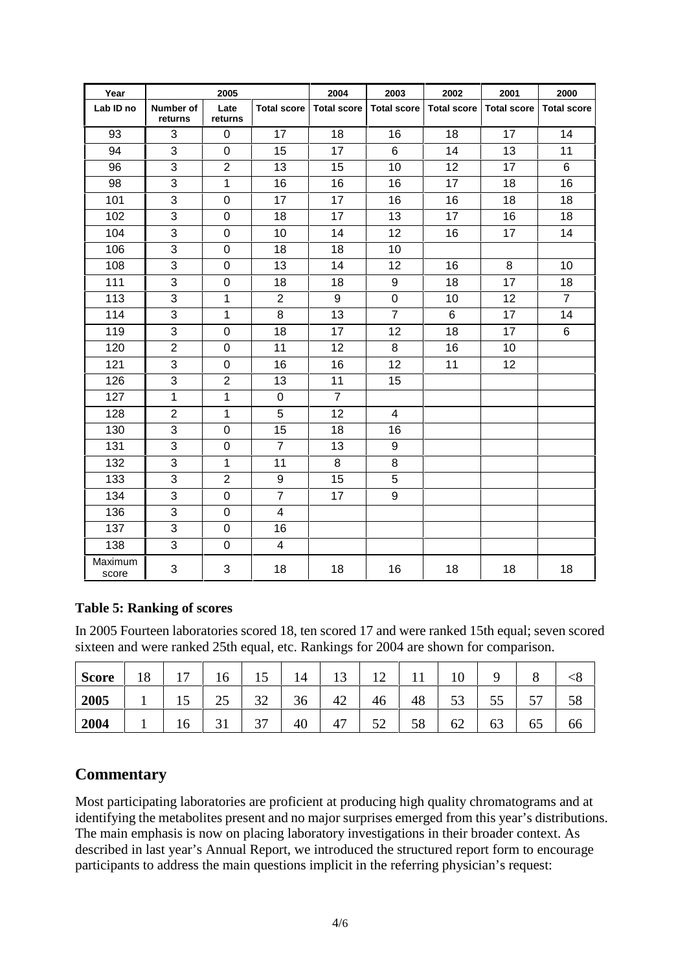| Year             | 2005                 |                  | 2004               | 2003               | 2002               | 2001               | 2000               |                    |
|------------------|----------------------|------------------|--------------------|--------------------|--------------------|--------------------|--------------------|--------------------|
| Lab ID no        | Number of<br>returns | Late<br>returns  | <b>Total score</b> | <b>Total score</b> | <b>Total score</b> | <b>Total score</b> | <b>Total score</b> | <b>Total score</b> |
| 93               | 3                    | 0                | 17                 | 18                 | 16                 | 18                 | 17                 | 14                 |
| 94               | 3                    | 0                | 15                 | 17                 | 6                  | 14                 | 13                 | 11                 |
| 96               | 3                    | $\overline{2}$   | 13                 | 15                 | 10                 | 12                 | 17                 | 6                  |
| 98               | 3                    | 1                | 16                 | 16                 | 16                 | 17                 | 18                 | 16                 |
| 101              | 3                    | $\overline{0}$   | 17                 | 17                 | 16                 | 16                 | 18                 | 18                 |
| 102              | 3                    | $\mathbf 0$      | 18                 | 17                 | 13                 | 17                 | 16                 | 18                 |
| 104              | 3                    | $\mathbf 0$      | 10                 | 14                 | 12                 | 16                 | 17                 | 14                 |
| 106              | 3                    | $\overline{0}$   | 18                 | 18                 | 10                 |                    |                    |                    |
| 108              | 3                    | 0                | 13                 | 14                 | 12                 | 16                 | 8                  | 10                 |
| 111              | 3                    | 0                | 18                 | 18                 | 9                  | 18                 | 17                 | 18                 |
| 113              | 3                    | 1                | $\overline{2}$     | 9                  | $\pmb{0}$          | 10                 | 12                 | $\overline{7}$     |
| 114              | 3                    | 1                | 8                  | 13                 | $\overline{7}$     | $6\phantom{1}$     | 17                 | 14                 |
| 119              | 3                    | 0                | 18                 | 17                 | 12                 | 18                 | 17                 | 6                  |
| 120              | $\overline{2}$       | 0                | 11                 | 12                 | 8                  | 16                 | 10                 |                    |
| 121              | 3                    | 0                | 16                 | 16                 | 12                 | 11                 | 12                 |                    |
| 126              | 3                    | $\overline{2}$   | 13                 | 11                 | 15                 |                    |                    |                    |
| 127              | 1                    | 1                | 0                  | $\overline{7}$     |                    |                    |                    |                    |
| 128              | $\overline{2}$       | $\mathbf{1}$     | 5                  | 12                 | 4                  |                    |                    |                    |
| 130              | 3                    | $\pmb{0}$        | 15                 | 18                 | 16                 |                    |                    |                    |
| 131              | 3                    | 0                | $\overline{7}$     | 13                 | 9                  |                    |                    |                    |
| 132              | 3                    | 1                | 11                 | 8                  | 8                  |                    |                    |                    |
| 133              | 3                    | $\overline{2}$   | 9                  | 15                 | 5                  |                    |                    |                    |
| 134              | 3                    | $\boldsymbol{0}$ | $\overline{7}$     | 17                 | $\boldsymbol{9}$   |                    |                    |                    |
| 136              | 3                    | $\boldsymbol{0}$ | 4                  |                    |                    |                    |                    |                    |
| 137              | 3                    | $\mathbf 0$      | 16                 |                    |                    |                    |                    |                    |
| 138              | 3                    | 0                | $\overline{4}$     |                    |                    |                    |                    |                    |
| Maximum<br>score | 3                    | 3                | 18                 | 18                 | 16                 | 18                 | 18                 | 18                 |

## **Table 5: Ranking of scores**

In 2005 Fourteen laboratories scored 18, ten scored 17 and were ranked 15th equal; seven scored sixteen and were ranked 25th equal, etc. Rankings for 2004 are shown for comparison.

| <b>Score</b> | 18 | $\overline{ }$                 | 16             | $\overline{ }$        | 14 | 1 <sub>2</sub><br>Τņ | 1 <sub>2</sub> |    | 10 |    |                | ⊂໐ |
|--------------|----|--------------------------------|----------------|-----------------------|----|----------------------|----------------|----|----|----|----------------|----|
| 2005         |    | $\overline{\phantom{0}}$<br>⊥୰ | つく<br>رے       | $\mathfrak{D}$<br>ے ر | 36 | 42                   | 46             | 48 | 53 | 55 | 57<br><u>.</u> | 58 |
| 2004         |    | 16                             | $\sim$ 1<br>JІ | $\cap$<br>، ب         | 40 | 47                   | 50<br>◡▱       | 58 | 62 | 63 | 65             | ხხ |

# **Commentary**

Most participating laboratories are proficient at producing high quality chromatograms and at identifying the metabolites present and no major surprises emerged from this year's distributions. The main emphasis is now on placing laboratory investigations in their broader context. As described in last year's Annual Report, we introduced the structured report form to encourage participants to address the main questions implicit in the referring physician's request: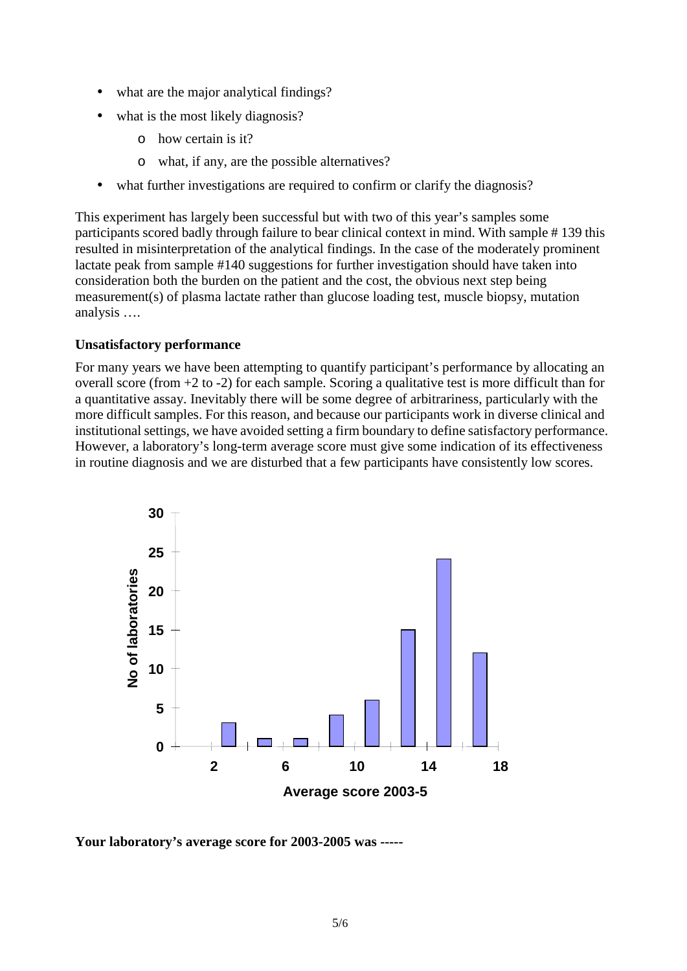- what are the major analytical findings?
- what is the most likely diagnosis?
	- o how certain is it?
	- o what, if any, are the possible alternatives?
- what further investigations are required to confirm or clarify the diagnosis?

This experiment has largely been successful but with two of this year's samples some participants scored badly through failure to bear clinical context in mind. With sample # 139 this resulted in misinterpretation of the analytical findings. In the case of the moderately prominent lactate peak from sample #140 suggestions for further investigation should have taken into consideration both the burden on the patient and the cost, the obvious next step being measurement(s) of plasma lactate rather than glucose loading test, muscle biopsy, mutation analysis ….

#### **Unsatisfactory performance**

For many years we have been attempting to quantify participant's performance by allocating an overall score (from  $+2$  to  $-2$ ) for each sample. Scoring a qualitative test is more difficult than for a quantitative assay. Inevitably there will be some degree of arbitrariness, particularly with the more difficult samples. For this reason, and because our participants work in diverse clinical and institutional settings, we have avoided setting a firm boundary to define satisfactory performance. However, a laboratory's long-term average score must give some indication of its effectiveness in routine diagnosis and we are disturbed that a few participants have consistently low scores.



**Your laboratory's average score for 2003-2005 was -----**